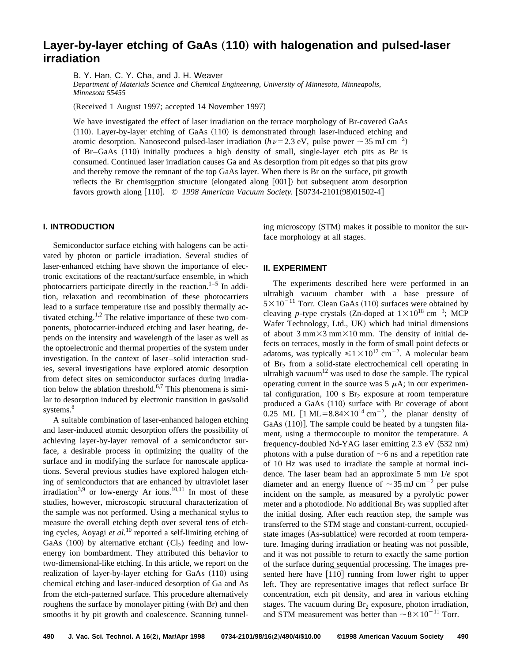# Layer-by-layer etching of GaAs (110) with halogenation and pulsed-laser **irradiation**

B. Y. Han, C. Y. Cha, and J. H. Weaver

*Department of Materials Science and Chemical Engineering, University of Minnesota, Minneapolis, Minnesota 55455*

(Received 1 August 1997; accepted 14 November 1997)

We have investigated the effect of laser irradiation on the terrace morphology of Br-covered GaAs  $(110)$ . Layer-by-layer etching of GaAs  $(110)$  is demonstrated through laser-induced etching and atomic desorption. Nanosecond pulsed-laser irradiation ( $h\nu$  = 2.3 eV, pulse power  $\sim$  35 mJ cm<sup>-2</sup>) of Br–GaAs (110) initially produces a high density of small, single-layer etch pits as Br is consumed. Continued laser irradiation causes Ga and As desorption from pit edges so that pits grow and thereby remove the remnant of the top GaAs layer. When there is Br on the surface, pit growth reflects the Br chemisorption structure  $(elongated along [001])$  but subsequent atom desorption reflects the Br chemisorption structure (elongated along [001]) but subsequent atom des<br>favors growth along [110]. © 1998 American Vacuum Society. [S0734-2101(98)01502-4]

## **I. INTRODUCTION**

Semiconductor surface etching with halogens can be activated by photon or particle irradiation. Several studies of laser-enhanced etching have shown the importance of electronic excitations of the reactant/surface ensemble, in which photocarriers participate directly in the reaction.<sup>1–5</sup> In addition, relaxation and recombination of these photocarriers lead to a surface temperature rise and possibly thermally activated etching.<sup>1,2</sup> The relative importance of these two components, photocarrier-induced etching and laser heating, depends on the intensity and wavelength of the laser as well as the optoelectronic and thermal properties of the system under investigation. In the context of laser–solid interaction studies, several investigations have explored atomic desorption from defect sites on semiconductor surfaces during irradiation below the ablation threshold.<sup>6,7</sup> This phenomena is similar to desorption induced by electronic transition in gas/solid systems.<sup>8</sup>

A suitable combination of laser-enhanced halogen etching and laser-induced atomic desorption offers the possibility of achieving layer-by-layer removal of a semiconductor surface, a desirable process in optimizing the quality of the surface and in modifying the surface for nanoscale applications. Several previous studies have explored halogen etching of semiconductors that are enhanced by ultraviolet laser irradiation<sup>3,9</sup> or low-energy Ar ions.<sup>10,11</sup> In most of these studies, however, microscopic structural characterization of the sample was not performed. Using a mechanical stylus to measure the overall etching depth over several tens of etching cycles, Aoyagi *et al.*<sup>10</sup> reported a self-limiting etching of GaAs  $(100)$  by alternative etchant  $(Cl<sub>2</sub>)$  feeding and lowenergy ion bombardment. They attributed this behavior to two-dimensional-like etching. In this article, we report on the realization of layer-by-layer etching for  $GaAs$   $(110)$  using chemical etching and laser-induced desorption of Ga and As from the etch-patterned surface. This procedure alternatively roughens the surface by monolayer pitting (with Br) and then smooths it by pit growth and coalescence. Scanning tunneling microscopy (STM) makes it possible to monitor the surface morphology at all stages.

### **II. EXPERIMENT**

The experiments described here were performed in an ultrahigh vacuum chamber with a base pressure of  $5 \times 10^{-11}$  Torr. Clean GaAs (110) surfaces were obtained by cleaving *p*-type crystals (Zn-doped at  $1 \times 10^{18}$  cm<sup>-3</sup>; MCP Wafer Technology, Ltd., UK) which had initial dimensions of about  $3 \text{ mm} \times 3 \text{ mm} \times 10 \text{ mm}$ . The density of initial defects on terraces, mostly in the form of small point defects or adatoms, was typically  $\leq 1 \times 10^{12}$  cm<sup>-2</sup>. A molecular beam of Br<sub>2</sub> from a solid-state electrochemical cell operating in ultrahigh vacuum<sup>12</sup> was used to dose the sample. The typical operating current in the source was  $5 \mu A$ ; in our experimental configuration, 100 s  $Br<sub>2</sub>$  exposure at room temperature produced a GaAs  $(110)$  surface with Br coverage of about 0.25 ML [1 ML=8.84 $\times$ 10<sup>14</sup> cm<sup>-2</sup>, the planar density of GaAs  $(110)$ ]. The sample could be heated by a tungsten filament, using a thermocouple to monitor the temperature. A frequency-doubled Nd-YAG laser emitting  $2.3$  eV  $(532$  nm) photons with a pulse duration of  $\sim$  6 ns and a repetition rate of 10 Hz was used to irradiate the sample at normal incidence. The laser beam had an approximate 5 mm 1/*e* spot diameter and an energy fluence of  $\sim$ 35 mJ cm<sup>-2</sup> per pulse incident on the sample, as measured by a pyrolytic power meter and a photodiode. No additional  $Br<sub>2</sub>$  was supplied after the initial dosing. After each reaction step, the sample was transferred to the STM stage and constant-current, occupiedstate images (As-sublattice) were recorded at room temperature. Imaging during irradiation or heating was not possible, and it was not possible to return to exactly the same portion of the surface during sequential processing. The images preof the surface during sequential processing. The images presented here have [110] running from lower right to upper left. They are representative images that reflect surface Br concentration, etch pit density, and area in various etching stages. The vacuum during  $Br<sub>2</sub>$  exposure, photon irradiation, and STM measurement was better than  $\sim 8 \times 10^{-11}$  Torr.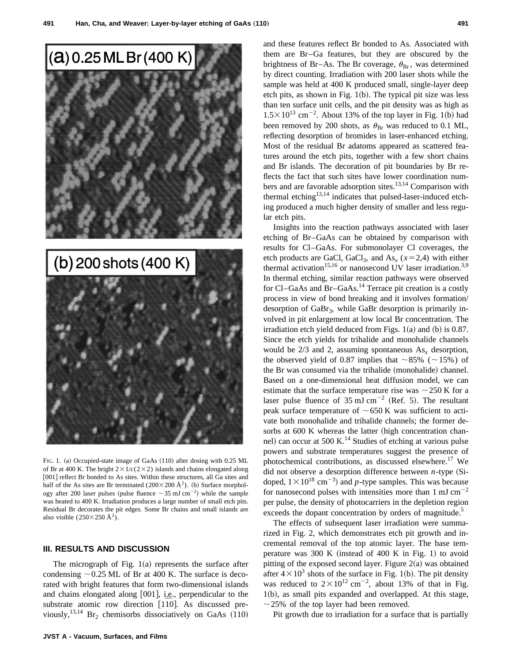



FIG. 1. (a) Occupied-state image of GaAs (110) after dosing with 0.25 ML of Br at 400 K. The bright  $2 \times 1/c(2 \times 2)$  islands and chains elongated along [001] reflect Br bonded to As sites. Within these structures, all Ga sites and half of the As sites are Br terminated ( $200 \times 200 \text{ Å}^2$ ). (b) Surface morphology after 200 laser pulses (pulse fluence  $\sim$  35 mJ cm<sup>-2</sup>) while the sample was heated to 400 K. Irradiation produces a large number of small etch pits. Residual Br decorates the pit edges. Some Br chains and small islands are also visible  $(250\times250 \text{ Å}^2)$ .

### **III. RESULTS AND DISCUSSION**

The micrograph of Fig.  $1(a)$  represents the surface after condensing  $\sim$  0.25 ML of Br at 400 K. The surface is decorated with bright features that form two-dimensional islands and chains elongated along  $[001]$ , i.e., perpendicular to the and chains elongated along [001], i.e., perpendicular to the substrate atomic row direction  $[1\overline{1}0]$ . As discussed previously,<sup>13,14</sup> Br<sub>2</sub> chemisorbs dissociatively on GaAs  $(110)$  and these features reflect Br bonded to As. Associated with them are Br–Ga features, but they are obscured by the brightness of Br-As. The Br coverage,  $\theta_{\rm Br}$ , was determined by direct counting. Irradiation with 200 laser shots while the sample was held at 400 K produced small, single-layer deep etch pits, as shown in Fig.  $1(b)$ . The typical pit size was less than ten surface unit cells, and the pit density was as high as  $1.5 \times 10^{13}$  cm<sup>-2</sup>. About 13% of the top layer in Fig. 1(b) had been removed by 200 shots, as  $\theta_{\text{Br}}$  was reduced to 0.1 ML, reflecting desorption of bromides in laser-enhanced etching. Most of the residual Br adatoms appeared as scattered features around the etch pits, together with a few short chains and Br islands. The decoration of pit boundaries by Br reflects the fact that such sites have lower coordination numbers and are favorable adsorption sites.<sup>13,14</sup> Comparison with thermal etching<sup>13,14</sup> indicates that pulsed-laser-induced etching produced a much higher density of smaller and less regular etch pits.

Insights into the reaction pathways associated with laser etching of Br–GaAs can be obtained by comparison with results for Cl–GaAs. For submonolayer Cl coverages, the etch products are GaCl, GaCl<sub>3</sub>, and As<sub>*x*</sub> ( $x=2,4$ ) with either thermal activation<sup>15,16</sup> or nanosecond UV laser irradiation.<sup>3,9</sup> In thermal etching, similar reaction pathways were observed for Cl–GaAs and Br–GaAs.<sup>14</sup> Terrace pit creation is a costly process in view of bond breaking and it involves formation/ desorption of  $GaBr_3$ , while  $GaBr$  desorption is primarily involved in pit enlargement at low local Br concentration. The irradiation etch yield deduced from Figs.  $1(a)$  and  $(b)$  is 0.87. Since the etch yields for trihalide and monohalide channels would be  $2/3$  and 2, assuming spontaneous  $As_x$  desorption, the observed yield of 0.87 implies that  $\sim 85\%$  ( $\sim 15\%$ ) of the Br was consumed via the trihalide (monohalide) channel. Based on a one-dimensional heat diffusion model, we can estimate that the surface temperature rise was  $\sim$  250 K for a laser pulse fluence of  $35 \text{ mJ cm}^{-2}$  (Ref. 5). The resultant peak surface temperature of  $\sim$  650 K was sufficient to activate both monohalide and trihalide channels; the former desorbs at 600 K whereas the latter (high concentration channel) can occur at 500 K.<sup>14</sup> Studies of etching at various pulse powers and substrate temperatures suggest the presence of photochemical contributions, as discussed elsewhere.17 We did not observe a desorption difference between  $n$ -type  $(S_i$ doped,  $1 \times 10^{18}$  cm<sup>-3</sup>) and *p*-type samples. This was because for nanosecond pulses with intensities more than  $1 \text{ mJ cm}^{-2}$ per pulse, the density of photocarriers in the depletion region exceeds the dopant concentration by orders of magnitude.<sup>5</sup>

The effects of subsequent laser irradiation were summarized in Fig. 2, which demonstrates etch pit growth and incremental removal of the top atomic layer. The base temperature was 300 K (instead of 400 K in Fig. 1) to avoid pitting of the exposed second layer. Figure  $2(a)$  was obtained after  $4 \times 10^3$  shots of the surface in Fig. 1(b). The pit density was reduced to  $2 \times 10^{12}$  cm<sup>-2</sup>, about 13% of that in Fig.  $1(b)$ , as small pits expanded and overlapped. At this stage,  $\sim$  25% of the top layer had been removed.

Pit growth due to irradiation for a surface that is partially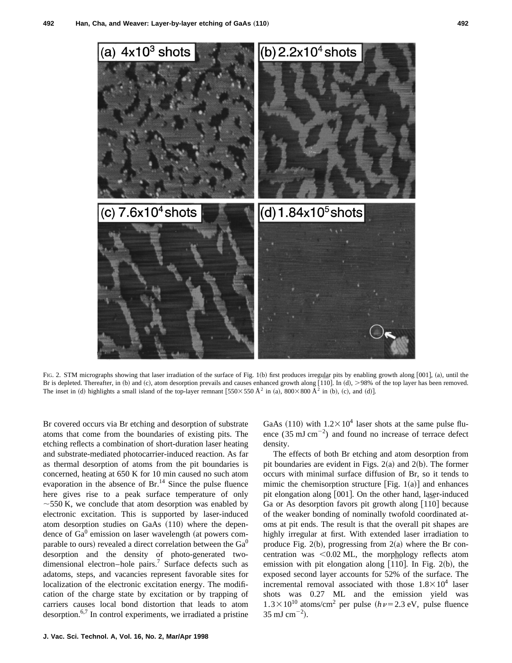

FIG. 2. STM micrographs showing that laser irradiation of the surface of Fig. 1(b) first produces irregular pits by enabling growth along [001], (a), until the FIG. 2. STM micrographs showing that laser irradiation of the surface of Fig. 1(b) first produces irregular pits by enabling growth along [001], (a), until the<br>Br is depleted. Thereafter, in (b) and (c), atom desorption p The inset in (d) highlights a small island of the top-layer remnant  $[550\times550 \text{ Å}^2$  in (a),  $800\times800 \text{ Å}^2$  in (b), (c), and (d)].

Br covered occurs via Br etching and desorption of substrate atoms that come from the boundaries of existing pits. The etching reflects a combination of short-duration laser heating and substrate-mediated photocarrier-induced reaction. As far as thermal desorption of atoms from the pit boundaries is concerned, heating at 650 K for 10 min caused no such atom evaporation in the absence of  $Br<sup>14</sup>$  Since the pulse fluence here gives rise to a peak surface temperature of only  $\sim$  550 K, we conclude that atom desorption was enabled by electronic excitation. This is supported by laser-induced atom desorption studies on GaAs  $(110)$  where the dependence of  $Ga<sup>0</sup>$  emission on laser wavelength (at powers comparable to ours) revealed a direct correlation between the  $Ga<sup>0</sup>$ desorption and the density of photo-generated twodimensional electron–hole pairs.<sup>7</sup> Surface defects such as adatoms, steps, and vacancies represent favorable sites for localization of the electronic excitation energy. The modification of the charge state by excitation or by trapping of carriers causes local bond distortion that leads to atom desorption.6,7 In control experiments, we irradiated a pristine GaAs (110) with  $1.2 \times 10^4$  laser shots at the same pulse fluence  $(35 \text{ mJ cm}^{-2})$  and found no increase of terrace defect density.

The effects of both Br etching and atom desorption from pit boundaries are evident in Figs.  $2(a)$  and  $2(b)$ . The former occurs with minimal surface diffusion of Br, so it tends to mimic the chemisorption structure [Fig.  $1(a)$ ] and enhances pit elongation along  $[001]$ . On the other hand, laser-induced pit elongation along [001]. On the other hand, laser-induced Ga or As desorption favors pit growth along  $[1\overline{1}0]$  because of the weaker bonding of nominally twofold coordinated atoms at pit ends. The result is that the overall pit shapes are highly irregular at first. With extended laser irradiation to produce Fig. 2(b), progressing from 2(a) where the Br concentration was  $< 0.02$  ML, the morphology reflects atom centration was  $\leq 0.02$  ML, the morphology reflects atom<br>emission with pit elongation along [110]. In Fig. 2(b), the exposed second layer accounts for 52% of the surface. The incremental removal associated with those  $1.8 \times 10^4$  laser shots was 0.27 ML and the emission yield was  $1.3 \times 10^{10}$  atoms/cm<sup>2</sup> per pulse ( $h\nu$ =2.3 eV, pulse fluence  $35 \text{ mJ cm}^{-2}$ ).